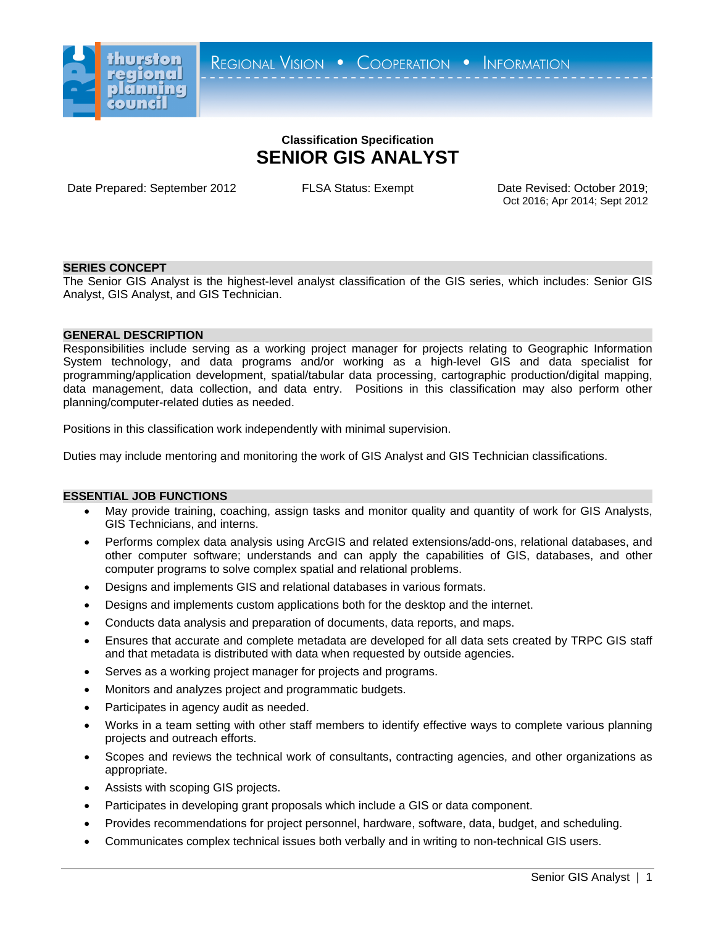

# **Classification Specification SENIOR GIS ANALYST**

Date Prepared: September 2012 FLSA Status: Exempt Date Revised: October 2019;

Oct 2016; Apr 2014; Sept 2012

## **SERIES CONCEPT**

The Senior GIS Analyst is the highest-level analyst classification of the GIS series, which includes: Senior GIS Analyst, GIS Analyst, and GIS Technician.

## **GENERAL DESCRIPTION**

Responsibilities include serving as a working project manager for projects relating to Geographic Information System technology, and data programs and/or working as a high-level GIS and data specialist for programming/application development, spatial/tabular data processing, cartographic production/digital mapping, data management, data collection, and data entry. Positions in this classification may also perform other planning/computer-related duties as needed.

Positions in this classification work independently with minimal supervision.

Duties may include mentoring and monitoring the work of GIS Analyst and GIS Technician classifications.

#### **ESSENTIAL JOB FUNCTIONS**

- May provide training, coaching, assign tasks and monitor quality and quantity of work for GIS Analysts, GIS Technicians, and interns.
- Performs complex data analysis using ArcGIS and related extensions/add-ons, relational databases, and other computer software; understands and can apply the capabilities of GIS, databases, and other computer programs to solve complex spatial and relational problems.
- Designs and implements GIS and relational databases in various formats.
- Designs and implements custom applications both for the desktop and the internet.
- Conducts data analysis and preparation of documents, data reports, and maps.
- Ensures that accurate and complete metadata are developed for all data sets created by TRPC GIS staff and that metadata is distributed with data when requested by outside agencies.
- Serves as a working project manager for projects and programs.
- Monitors and analyzes project and programmatic budgets.
- Participates in agency audit as needed.
- Works in a team setting with other staff members to identify effective ways to complete various planning projects and outreach efforts.
- Scopes and reviews the technical work of consultants, contracting agencies, and other organizations as appropriate.
- Assists with scoping GIS projects.
- Participates in developing grant proposals which include a GIS or data component.
- Provides recommendations for project personnel, hardware, software, data, budget, and scheduling.
- Communicates complex technical issues both verbally and in writing to non-technical GIS users.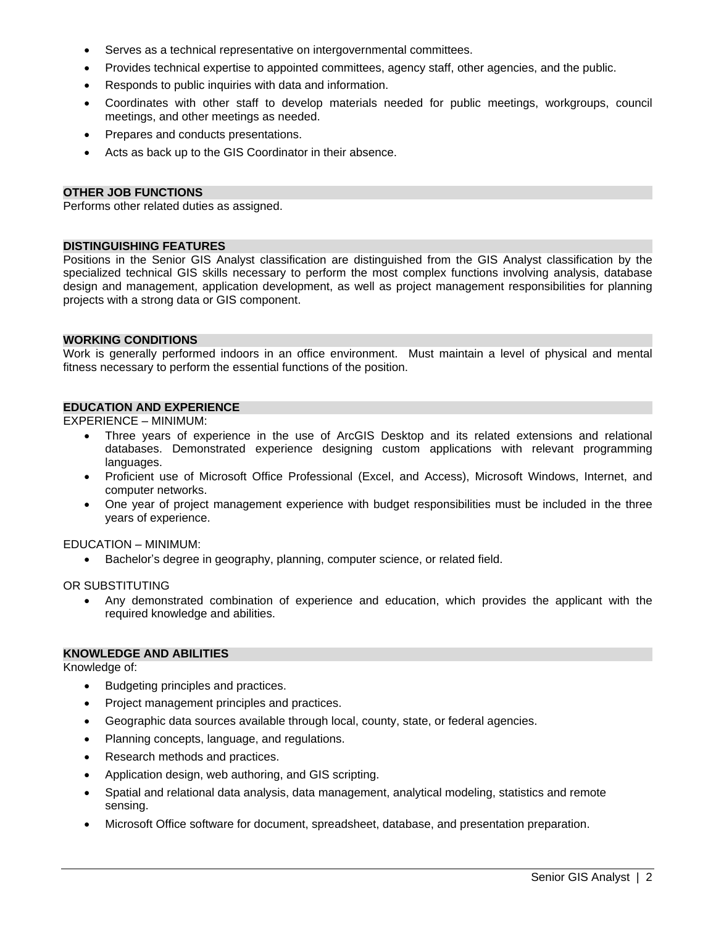- Serves as a technical representative on intergovernmental committees.
- Provides technical expertise to appointed committees, agency staff, other agencies, and the public.
- Responds to public inquiries with data and information.
- Coordinates with other staff to develop materials needed for public meetings, workgroups, council meetings, and other meetings as needed.
- Prepares and conducts presentations.
- Acts as back up to the GIS Coordinator in their absence.

#### **OTHER JOB FUNCTIONS**

Performs other related duties as assigned.

## **DISTINGUISHING FEATURES**

Positions in the Senior GIS Analyst classification are distinguished from the GIS Analyst classification by the specialized technical GIS skills necessary to perform the most complex functions involving analysis, database design and management, application development, as well as project management responsibilities for planning projects with a strong data or GIS component.

#### **WORKING CONDITIONS**

Work is generally performed indoors in an office environment. Must maintain a level of physical and mental fitness necessary to perform the essential functions of the position.

#### **EDUCATION AND EXPERIENCE**

EXPERIENCE – MINIMUM:

- Three years of experience in the use of ArcGIS Desktop and its related extensions and relational databases. Demonstrated experience designing custom applications with relevant programming languages.
- Proficient use of Microsoft Office Professional (Excel, and Access), Microsoft Windows, Internet, and computer networks.
- One year of project management experience with budget responsibilities must be included in the three years of experience.

EDUCATION – MINIMUM:

Bachelor's degree in geography, planning, computer science, or related field.

OR SUBSTITUTING

 Any demonstrated combination of experience and education, which provides the applicant with the required knowledge and abilities.

### **KNOWLEDGE AND ABILITIES**

Knowledge of:

- Budgeting principles and practices.
- Project management principles and practices.
- Geographic data sources available through local, county, state, or federal agencies.
- Planning concepts, language, and regulations.
- Research methods and practices.
- Application design, web authoring, and GIS scripting.
- Spatial and relational data analysis, data management, analytical modeling, statistics and remote sensing.
- Microsoft Office software for document, spreadsheet, database, and presentation preparation.